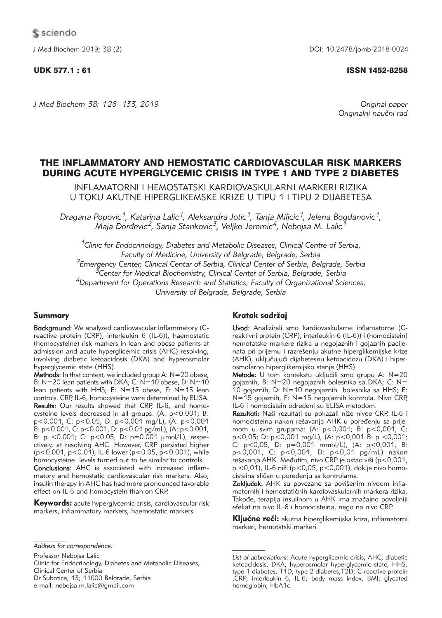# UDK 577.1 : 61 ISSN 1452-8258

*J Med Biochem 38: 126 –133, 2019 Original paper*

Originalni naučni rad

# THE INFLAMMATORY AND HEMOSTATIC CARDIOVASCULAR RISK MARKERS DURING ACUTE HYPERGLYCEMIC CRISIS IN TYPE 1 AND TYPE 2 DIABETES

INFLAMATORNI I HEMOSTATSKI KARDIOVASKULARNI MARKERI RIZIKA U TOKU AKUTNE HIPERGLIKEMSKE KRIZE U TIPU 1 I TIPU 2 DIJABETESA

*Dragana Popovic1, Katarina Lalic1, Aleksandra Jotic1, Tanja Milicic1, Jelena Bogdanovic1, Maja \or|evic2, Sanja Stankovic3, Veljko Jeremic4, Nebojsa M. Lalic1*

*1Clinic for Endocrinology, Diabetes and Metabolic Diseases, Clinical Centre of Serbia, Faculty of Medicine, University of Belgrade, Belgrade, Serbia 2Emergency Center, Clinical Centar of Serbia, Clinical Center of Serbia, Belgrade, Serbia 3Center for Medical Biochemistry, Clinical Center of Serbia, Belgrade, Serbia 4Department for Operations Research and Statistics, Faculty of Organizational Sciences, University of Belgrade, Belgrade, Serbia*

# Summary

Background: We analyzed cardiovascular inflammatory (Creactive protein (CRP), interleukin 6 (IL-6)), haemostatic (homocysteine) risk markers in lean and obese patients at admission and acute hyperglicemic crisis (AHC) resolving, involving diabetic ketoacidosis (DKA) and hyperosmolar hyperglycemic state (HHS).

**Methods:** In that context, we included group A:  $N=20$  obese, B: N=20 lean patients with DKA; C: N=10 obese, D: N=10 lean patients with HHS; E: N=15 obese, F: N=15 lean controls. CRP, IL-6, homocysteine were determined by ELISA. Results: Our results showed that CRP, IL-6, and homocysteine levels decreased in all groups: (A: p<0.001; B: p<0.001, C: p<0.05; D: p<0.001 mg/L), (A: p<0.001 B: p<0.001, C: p<0.001, D: p<0.01 pg/mL), (A: p<0.001, B: p <0.001; C: p<0.05, D: p=0.001  $\mu$ mol/L), respectively, at resolving AHC. However, CRP persisted higher (p<0.001, p<0.01), IL-6 lower (p<0.05, p<0.001), while homocysteine levels turned out to be similar to controls.

Conclusions: AHC is associated with increased inflammatory and hemostatic cardiovascular risk markers. Also, insulin therapy in AHC has had more pronounced favorable effect on IL-6 and homocystein than on CRP.

Keywords: acute hyperglycemic crisis, cardiovascular risk markers, inflammatory markers, haemostatic markers

Professor Nebojsa Lalic

Clinic for Endocrinology, Diabetes and Metabolic Diseases, Clinical Center of Serbia Dr Subotica, 13; 11000 Belgrade, Serbia

e-mail: nebojsa.m.lalic@gmail.com

# Kratak sadržaj

Uvod: Analizirali smo kardiovaskularne inflamatorne (Creaktivni protein (CRP), interleukin 6 (IL-6)) i (homocistein) hemotatske markere rizika u negojaznih i gojaznih pacijenata pri prijemu i razrešenju akutne hiperglikemijske krize (AHK), uključujući dijabetesnu ketoacidozu (DKA) i hiperosmolarno hiperglikemijsko stanje (HHS).

Metode: U tom kontekstu uključili smo grupu A:  $N=20$ gojaznih, B: N=20 negojaznih bolesnika sa DKA; C: N= 10 gojaznih, D: N=10 negojaznih bolesnika sa HHS; E: N=15 gojaznih, F: N=15 negojaznih kontrola. Nivo CRP, IL-6 i homocistein određeni su ELISA metodom.

Rezultati: Naši rezultati su pokazali niže nivoe CRP, IL-6 i homocisteina nakon rešavanja AHK u poređenju sa prijemom u svim grupama: (A: p<0,001; B: p<0,001, C: p<0,05; D: p<0,001 mg/L), (A: p<0,001 B: p <0,001; C: p<0,05, D: p=0,001 mmol/L), (A: p<0,001, B: p<0,001, C: p<0,001, D: p<0,01 pg/mL) nakon rešavanja AHK. Međutim, nivo CRP je ostao viši (p<0,001, p <0,01), IL-6 niži (p<0,05, p<0,001), dok je nivo homocisteina sličan u poređenju sa kontrolama.

Zaključak: AHK su povezane sa povišenim nivoom inflamatornih i hemostatičnih kardiovaskularnih markera rizika. Takođe, terapija insulinom u AHK ima značajno povoljniji efekat na nivo IL-6 i homocisteina, nego na nivo CRP.

**Ključne reči:** akutna hiperglikemijska kriza, inflamatorni markeri, hemotatski markeri

*Address for correspondence:*

*List of abbreviations:* Acute hyperglicemic crisis, AHC; diabetic ketoacidosis, DKA; hyperosmolar hyperglycemic state, HHS; type 1 diabetes, T1D; type 2 diabetes,T2D; C-reactive protein ,CRP; interleukin 6, IL-6; body mass index, BMI; glycated hemoglobin, HbA1c.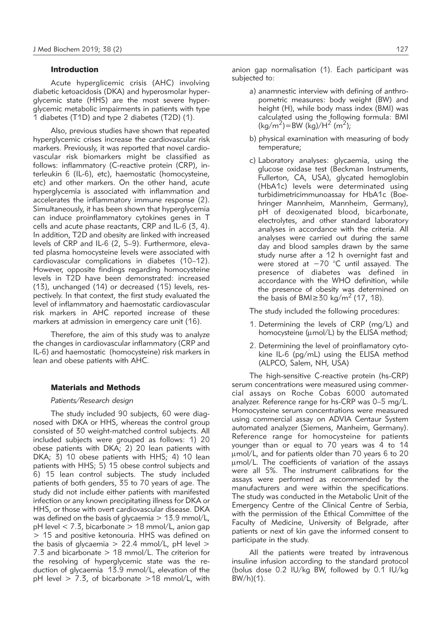#### Introduction

Acute hyperglicemic crisis (AHC) involving diabetic ketoacidosis (DKA) and hyperosmolar hyperglycemic state (HHS) are the most severe hyperglycemic metabolic impairments in patients with type 1 diabetes (T1D) and type 2 diabetes (T2D) (1).

Also, previous studies have shown that repeated hyperglycemic crises increase the cardiovascular risk markers. Previously, it was reported that novel cardiovascular risk biomarkers might be classified as follows: inflammatory (C-reactive protein (CRP), interleukin 6 (IL-6), etc), haemostatic (homocysteine, etc) and other markers. On the other hand, acute hyperglycemia is associated with inflammation and accelerates the inflammatory immune response (2). Simultaneously, it has been shown that hyperglycemia can induce proinflammatory cytokines genes in T cells and acute phase reactants, CRP and IL-6 (3, 4). In addition, T2D and obesity are linked with increased levels of CRP and IL-6 (2, 5-9). Furthermore, elevated plasma homocysteine levels were associated with cardiovascular complications in diabetes (10–12). However, opposite findings regarding homocysteine levels in T2D have been demonstrated: increased (13), unchanged (14) or decreased (15) levels, respectively. In that context, the first study evaluated the level of inflammatory and haemostatic cardiovascular risk markers in AHC reported increase of these markers at admission in emergency care unit (16).

Therefore, the aim of this study was to analyze the changes in cardiovascular inflammatory (CRP and IL-6) and haemostatic (homocysteine) risk markers in lean and obese patients with AHC.

#### Materials and Methods

#### *Patients/Research design*

The study included 90 subjects, 60 were diagnosed with DKA or HHS, whereas the control group consisted of 30 weight-matched control subjects. All included subjects were grouped as follows: 1) 20 obese patients with DKA; 2) 20 lean patients with DKA; 3) 10 obese patients with HHS; 4) 10 lean patients with HHS; 5) 15 obese control subjects and 6) 15 lean control subjects. The study included patients of both genders, 35 to 70 years of age. The study did not include either patients with manifested infection or any known precipitating illness for DKA or HHS, or those with overt cardiovascular disease. DKA was defined on the basis of glycaemia  $> 13.9$  mmol/L, pH level  $<$  7.3, bicarbonate  $>$  18 mmol/L, anion gap  $> 15$  and positive ketonouria. HHS was defined on the basis of glycaemia  $> 22.4$  mmol/L, pH level  $>$ 7.3 and bicarbonate  $> 18$  mmol/L. The criterion for the resolving of hyperglycemic state was the reduction of glycaemia 13.9 mmol/L, elevation of the pH level  $> 7.3$ , of bicarbonate  $>18$  mmol/L, with

anion gap normalisation (1). Each participant was subjected to:

- a) anamnestic interview with defining of anthropometric measures: body weight (BW) and height (H), while body mass index (BMI) was calculated using the following formula: BMI  $(kg/m^2)$ =BW (kg)/H<sup>2</sup> (m<sup>2</sup>);
- b) physical examination with measuring of body temperature;
- c) Laboratory analyses: glycaemia, using the glucose oxidase test (Beckman Instruments, Fullerton, CA, USA), glycated hemoglobin (HbA1c) levels were determinated using turbidimetricimmunoassay for HbA1c (Boe hringer Mannheim, Mannheim, Germany), pH of deoxigenated blood, bicarbonate, electrolytes, and other standard laboratory analyses in accordance with the criteria. All analyses were carried out during the same day and blood samples drawn by the same study nurse after a 12 h overnight fast and were stored at −70 °C until assayed. The presence of diabetes was defined in accordance with the WHO definition, while the presence of obesity was determined on the basis of BMI≥30 kg/m<sup>2</sup> (17, 18).

The study included the following procedures:

- 1. Determining the levels of CRP (mg/L) and homocysteine ( $\mu$ mol/L) by the ELISA method;
- 2. Determining the level of proinflamatory cytokine IL-6 (pg/mL) using the ELISA method (ALPCO, Salem, NH, USA)

The high-sensitive C-reactive protein (hs-CRP) serum concentrations were measured using commercial assays on Roche Cobas 6000 automated analyzer. Reference range for hs-CRP was 0–5 mg/L. Homocysteine serum concentrations were measured using commercial assay on ADVIA Centaur System automated analyzer (Siemens, Manheim, Germany). Reference range for homocysteine for patients younger than or equal to 70 years was 4 to 14 mmol/L, and for patients older than 70 years 6 to 20 umol/L. The coefficients of variation of the assays were all 5%. The instrument calibrations for the assays were performed as recommended by the manufacturers and were within the specifications. The study was conducted in the Metabolic Unit of the Emergency Centre of the Clinical Centre of Serbia, with the permission of the Ethical Committee of the Faculty of Medicine, University of Belgrade, after patients or next of kin gave the informed consent to participate in the study.

All the patients were treated by intravenous insuline infusion according to the standard protocol (bolus dose 0.2 IU/kg BW, followed by 0.1 IU/kg BW/h)(1).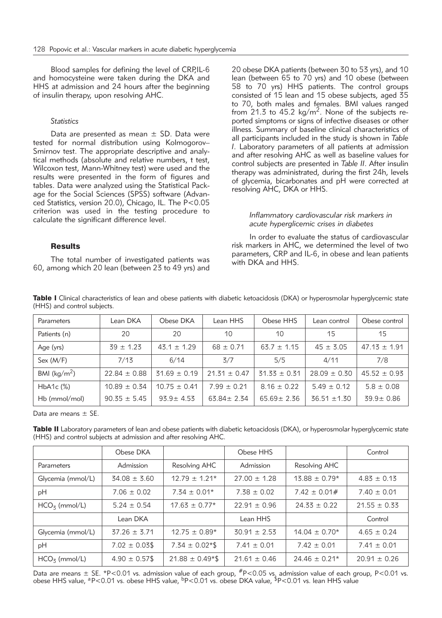Blood samples for defining the level of CRP,IL-6 and homocysteine were taken during the DKA and HHS at admission and 24 hours after the beginning of insulin therapy, upon resolving AHC.

### *Statistics*

Data are presented as mean  $\pm$  SD. Data were tested for normal distribution using Kolmogorov– Smirnov test. The appropriate descriptive and analytical methods (absolute and relative numbers, t test, Wilcoxon test, Mann-Whitney test) were used and the results were presented in the form of figures and tables. Data were analyzed using the Statistical Pack age for the Social Sciences (SPSS) software (Advanced Statistics, version 20.0), Chicago, IL. The P<0.05 criterion was used in the testing procedure to calculate the significant difference level.

## **Results**

The total number of investigated patients was 60, among which 20 lean (between 23 to 49 yrs) and 20 obese DKA patients (between 30 to 53 yrs), and 10 lean (between 65 to 70 yrs) and 10 obese (between 58 to 70 yrs) HHS patients. The control groups consisted of 15 lean and 15 obese subjects, aged 35 to 70, both males and females. BMI values ranged from 21.3 to 45.2 kg/m<sup>2</sup>. None of the subjects reported simptoms or signs of infective diseases or other illness. Summary of baseline clinical characteristics of all participants included in the study is shown in *Table I*. Laboratory parameters of all patients at admission and after resolving AHC as well as baseline values for control subjects are presented in *Table II*. After insulin therapy was administrated, during the first 24h, levels of glycemia, bicarbonates and pH were corrected at resolving AHC, DKA or HHS.

#### *Inflammatory cardiovascular risk markers in acute hyperglicemic crises in diabetes*

In order to evaluate the status of cardiovascular risk markers in AHC, we determined the level of two parameters, CRP and IL-6, in obese and lean patients with DKA and HHS.

|                             |  |  |  | Table I Clinical characteristics of lean and obese patients with diabetic ketoacidosis (DKA) or hyperosmolar hyperglycemic state |  |
|-----------------------------|--|--|--|----------------------------------------------------------------------------------------------------------------------------------|--|
| (HHS) and control subjects. |  |  |  |                                                                                                                                  |  |

| Parameters              | Lean DKA         | Obese DKA        | Lean HHS         | Obese HHS        | Lean control     | Obese control    |
|-------------------------|------------------|------------------|------------------|------------------|------------------|------------------|
| Patients (n)            | 20               | 20               | 10               | 10               | 15               | 15               |
| Age (yrs)               | $39 \pm 1.23$    | $43.1 \pm 1.29$  | $68 \pm 0.71$    | $63.7 \pm 1.15$  | $45 \pm 3.05$    | $47.13 \pm 1.91$ |
| Sex (M/F)               | 7/13             | 6/14             | 3/7              | 5/5              | 4/11             | 7/8              |
| BMI ( $\text{kg/m}^2$ ) | $22.84 \pm 0.88$ | $31.69 \pm 0.19$ | $21.31 \pm 0.47$ | $31.33 \pm 0.31$ | $28.09 \pm 0.30$ | $45.52 \pm 0.93$ |
| $HbA1c$ $(\%)$          | $10.89 \pm 0.34$ | $10.75 \pm 0.41$ | $7.99 \pm 0.21$  | $8.16 \pm 0.22$  | $5.49 \pm 0.12$  | $5.8 \pm 0.08$   |
| $Hb$ (mmol/mol)         | $90.35 \pm 5.45$ | $93.9 \pm 4.53$  | $63.84 \pm 2.34$ | $65.69 \pm 2.36$ | $36.51 \pm 1.30$ | $39.9 \pm 0.86$  |

Data are means  $\pm$  SE.

Table II Laboratory parameters of lean and obese patients with diabetic ketoacidosis (DKA), or hyperosmolar hyperglycemic state (HHS) and control subjects at admission and after resolving AHC.

|                   | Obese DKA          |                                  | Obese HHS        |                   | Control          |
|-------------------|--------------------|----------------------------------|------------------|-------------------|------------------|
| Parameters        | Admission          | Resolving AHC                    | Admission        | Resolving AHC     |                  |
| Glycemia (mmol/L) | $34.08 \pm 3.60$   | $12.79 \pm 1.21*$                | $27.00 \pm 1.28$ | $13.88 \pm 0.79*$ | $4.83 \pm 0.13$  |
| рH                | $7.06 \pm 0.02$    | $7.34 \pm 0.01*$                 | $7.38 \pm 0.02$  | $7.42 \pm 0.01#$  | $7.40 \pm 0.01$  |
| $HCO3$ (mmol/L)   | $5.24 \pm 0.54$    | $17.63 \pm 0.77*$                | $22.91 \pm 0.96$ | $24.33 \pm 0.22$  | $21.55 \pm 0.33$ |
|                   | Lean DKA           |                                  | Lean HHS         |                   | Control          |
| Glycemia (mmol/L) | $37.26 \pm 3.71$   | $12.75 \pm 0.89*$                | $30.91 \pm 2.53$ | $14.04 \pm 0.70*$ | $4.65 \pm 0.24$  |
| pH                | $7.02 \pm 0.03$ \$ | $7.34 \pm 0.02*$ \$              | $7.41 \pm 0.01$  | $7.42 \pm 0.01$   | $7.41 \pm 0.01$  |
| $HCOz$ (mmol/L)   | $4.90 \pm 0.57$ \$ | $21.88 \pm 0.49$ <sup>*</sup> \$ | $21.61 \pm 0.46$ | $24.46 \pm 0.21*$ | $20.91 \pm 0.26$ |

Data are means  $\pm$  SE. \*P<0.01 vs. admission value of each group,  $^{#}P$ <0.05 vs. admission value of each group, P<0.01 vs. obese HHS value, <sup>a</sup>P<0.01 vs. obese HHS value, <sup>b</sup>P<0.01 vs. obese DKA value, <sup>\$</sup>P<0.01 vs. lean HHS value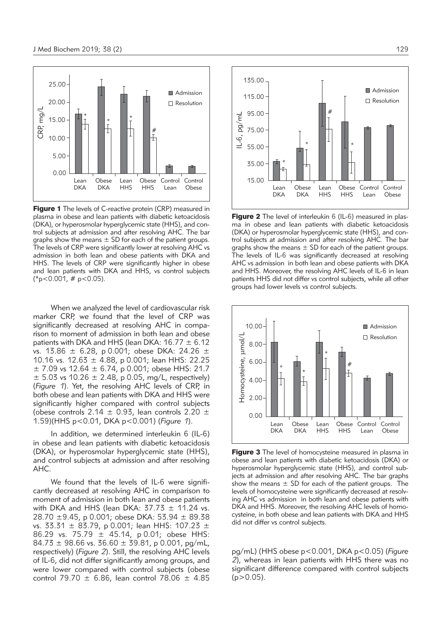

Figure 1 The levels of C-reactive protein (CRP) measured in plasma in obese and lean patients with diabetic ketoacidosis (DKA), or hyperosmolar hyperglycemic state (HHS), and control subjects at admission and after resolving AHC. The bar graphs show the means  $\pm$  SD for each of the patient groups. The levels of CRP were significantly lower at resolving AHC vs admission in both lean and obese patients with DKA and HHS. The levels of CRP were significantly higher in obese and lean patients with DKA and HHS, vs control subjects  $(*p<0.001, #p<0.05).$ 

When we analyzed the level of cardiovascular risk marker CRP, we found that the level of CRP was significantly decreased at resolving AHC in comparison to moment of admission in both lean and obese patients with DKA and HHS (lean DKA:  $16.77 \pm 6.12$ vs. 13.86 ± 6.28, p 0.001; obese DKA: 24.26 ± 10.16 vs. 12.63 ± 4.88, p 0.001; lean HHS: 22.25  $\pm$  7.09 vs 12.64  $\pm$  6.74, p 0.001; obese HHS: 21.7  $\pm$  5.03 vs 10.26  $\pm$  2.48, p 0.05, mg/L, respectively) (*Figure 1*). Yet, the resolving AHC levels of CRP, in both obese and lean patients with DKA and HHS were significantly higher compared with control subjects (obese controls 2.14  $\pm$  0.93, lean controls 2.20  $\pm$ 1.59)(HHS p<0.01, DKA p<0.001) (*Figure 1*).

In addition, we determined interleukin 6 (IL-6) in obese and lean patients with diabetic ketoacidosis (DKA), or hyperosmolar hyperglycemic state (HHS), and control subjects at admission and after resolving AHC.

We found that the levels of IL-6 were significantly decreased at resolving AHC in comparison to moment of admission in both lean and obese patients with DKA and HHS (lean DKA:  $37.73 \pm 11.24$  vs. 28.70 ±9.45, p 0.001; obese DKA: 53.94 ± 89.38 vs. 33.31 ± 83.79, p 0.001; lean HHS: 107.23 ± 86.29 vs. 75.79 ± 45.14, p 0.01; obese HHS:  $84.73 \pm 98.66$  vs.  $36.60 \pm 39.81$ , p 0.001, pg/mL, respectively) (*Figure 2*). Still, the resolving AHC levels of IL-6, did not differ significantly among groups, and were lower compared with control subjects (obese control 79.70  $\pm$  6.86, lean control 78.06  $\pm$  4.85



**Figure 2** The level of interleukin 6 (IL-6) measured in plasma in obese and lean patients with diabetic ketoacidosis (DKA) or hyperosmolar hyperglycemic state (HHS), and control subjects at admission and after resolving AHC. The bar graphs show the means  $\pm$  SD for each of the patient groups. The levels of IL-6 was significantly decreased at resolving AHC vs admission in both lean and obese patients with DKA and HHS. Moreover, the resolving AHC levels of IL-6 in lean patients HHS did not differ vs control subjects, while all other groups had lower levels vs control subjects.



Figure 3 The level of homocysteine measured in plasma in obese and lean patients with diabetic ketoacidosis (DKA) or hyperosmolar hyperglycemic state (HHS), and control subjects at admission and after resolving AHC. The bar graphs show the means  $\pm$  SD for each of the patient groups. The levels of homocysteine were significantly decreased at resolving AHC vs admission in both lean and obese patients with DKA and HHS. Moreover, the resolving AHC levels of homocysteine, in both obese and lean patients with DKA and HHS did not differ vs control subjects.

pg/mL) (HHS obese p<0.001, DKA p<0.05) (*Figure 2*), whereas in lean patients with HHS there was no significant difference compared with control subjects  $(p > 0.05)$ .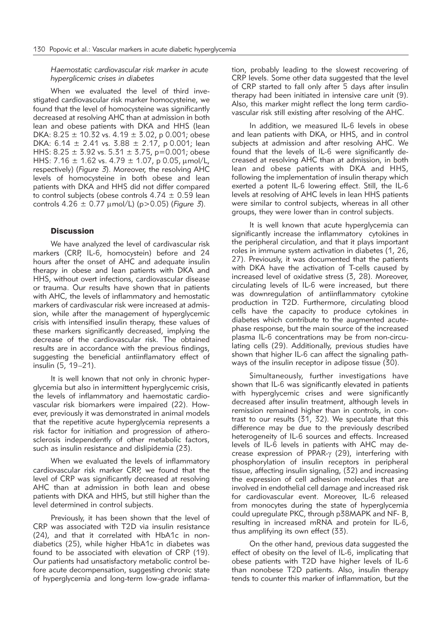### *Haemostatic cardiovascular risk marker in acute hyperglicemic crises in diabetes*

When we evaluated the level of third investigated cardiovascular risk marker homocysteine, we found that the level of homocysteine was significantly decreased at resolving AHC than at admission in both lean and obese patients with DKA and HHS (lean DKA:  $8.25 \pm 10.32$  vs.  $4.19 \pm 3.02$ , p 0.001; obese DKA:  $6.14 \pm 2.41$  vs.  $3.88 \pm 2.17$ , p 0.001; lean HHS:  $8.25 \pm 3.92$  vs.  $5.31 \pm 3.75$ , p=0.001; obese HHS: 7.16  $\pm$  1.62 vs. 4.79  $\pm$  1.07, p 0.05, µmol/L, respectively) (*Figure 3*). Moreover, the resolving AHC levels of homocysteine in both obese and lean patients with DKA and HHS did not differ compared to control subjects (obese controls  $4.74 \pm 0.59$  lean controls 4.26 ± 0.77 mmol/L) (p>0.05) (*Figure 3*).

### **Discussion**

We have analyzed the level of cardivascular risk markers (CRP, IL-6, homocystein) before and 24 hours after the onset of AHC and adequate insulin therapy in obese and lean patients with DKA and HHS, without overt infections, cardiovascular disease or trauma. Our results have shown that in patients with AHC, the levels of inflammatory and hemostatic markers of cardivascular risk were increased at admission, while after the management of hyperglycemic crisis with intensified insulin therapy, these values of these markers significantly decreased, implying the decrease of the cardiovascular risk. The obtained results are in accordance with the previous findings, suggesting the beneficial antiinflamatory effect of insulin (5, 19–21).

It is well known that not only in chronic hyperglycemia but also in intermittent hyperglycemic crisis, the levels of inflammatory and haemostatic cardiovascular risk biomarkers were impaired (22). However, previously it was demonstrated in animal models that the repetitive acute hyperglycemia represents a risk factor for initiation and progression of atherosclerosis independently of other metabolic factors, such as insulin resistance and dislipidemia (23).

When we evaluated the levels of inflammatory cardiovascular risk marker CRP, we found that the level of CRP was significantly decreased at resolving AHC than at admission in both lean and obese patients with DKA and HHS, but still higher than the level determined in control subjects.

Previously, it has been shown that the level of CRP was associated with T2D via insulin resistance (24), and that it correlated with HbA1c in nondiabetics (25), while higher HbA1c in diabetes was found to be associated with elevation of CRP (19). Our patients had unsatisfactory metabolic control be fore acute decompensation, suggesting chronic state of hyperglycemia and long-term low-grade inflamation, probably leading to the slowest recovering of CRP levels. Some other data suggested that the level of CRP started to fall only after 5 days after insulin therapy had been initiated in intensive care unit (9). Also, this marker might reflect the long term cardiovascular risk still existing after resolving of the AHC.

In addition, we measured IL-6 levels in obese and lean patients with DKA, or HHS, and in control subjects at admission and after resolving AHC. We found that the levels of IL-6 were significantly decreased at resolving AHC than at admission, in both lean and obese patients with DKA and HHS, following the implementation of insulin therapy which exerted a potent IL-6 lowering effect. Still, the IL-6 levels at resolving of AHC levels in lean HHS patients were similar to control subjects, whereas in all other groups, they were lower than in control subjects.

It is well known that acute hyperglycemia can significantly increase the inflammatory cytokines in the peripheral circulation, and that it plays important roles in immune system activation in diabetes (1, 26, 27). Previously, it was documented that the patients with DKA have the activation of T-cells caused by increased level of oxidative stress (3, 28). Moreover, circulating levels of IL-6 were increased, but there was downregulation of antiinflammatory cytokine production in T2D. Furthermore, circulating blood cells have the capacity to produce cytokines in diabetes which contribute to the augmented acutephase response, but the main source of the increased plasma IL-6 concentrations may be from non-circulating cells (29). Additionally, previous studies have shown that higher IL-6 can affect the signaling pathways of the insulin receptor in adipose tissue (30).

Simultaneously, further investigations have shown that IL-6 was significantly elevated in patients with hyperglycemic crises and were significantly decreased after insulin treatment, although levels in remission remained higher than in controls, in contrast to our results (31, 32). We speculate that this difference may be due to the previously described heterogeneity of IL-6 sources and effects. Increased levels of IL-6 levels in patients with AHC may decrease expression of PPAR- $\gamma$  (29), interfering with phosphorylation of insulin receptors in peripheral tissue, affecting insulin signaling, (32) and increasing the expression of cell adhesion molecules that are involved in endothelial cell damage and increased risk for cardiovascular event. Moreover, IL-6 released from monocytes during the state of hyperglycemia could upregulate PKC, through p38MAPK and NF- B, resulting in increased mRNA and protein for IL-6, thus amplifying its own effect (33).

On the other hand, previous data suggested the effect of obesity on the level of IL-6, implicating that obese patients with T2D have higher levels of IL-6 than nonobese T2D patients. Also, insulin therapy tends to counter this marker of inflammation, but the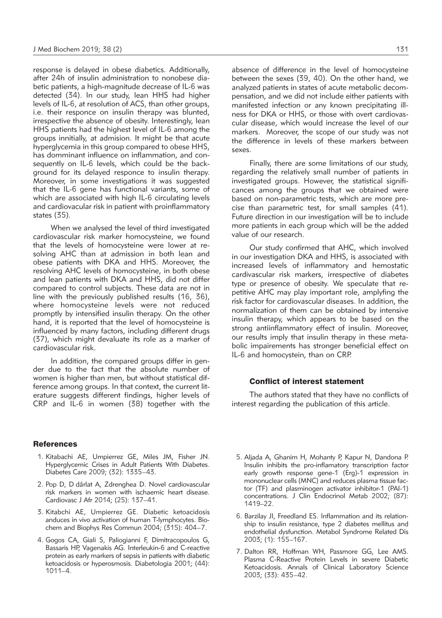response is delayed in obese diabetics. Additionally, after 24h of insulin administration to nonobese diabetic patients, a high-magnitude decrease of IL-6 was detected (34). In our study, lean HHS had higher levels of IL-6, at resolution of ACS, than other groups, i.e. their responce on insulin therapy was blunted, irrespective the absence of obesity. Interestingly, lean HHS patients had the highest level of IL-6 among the groups innitially, at admision. It might be that acute hyperglycemia in this group compared to obese HHS, has domminant influence on inflammation, and consequently on IL-6 levels, which could be the background for its delayed responce to insulin therapy. Moreover, in some investigations it was suggested that the IL-6 gene has functional variants, some of which are associated with high IL-6 circulating levels and cardiovacular risk in patient with proinflammatory states (35).

When we analysed the level of third investigated cardiovascular risk marker homocysteine, we found that the levels of homocysteine were lower at resolving AHC than at admission in both lean and obese patients with DKA and HHS. Moreover, the resolving AHC levels of homocysteine, in both obese and lean patients with DKA and HHS, did not differ compared to control subjects. These data are not in line with the previously published results (16, 36), where homocysteine levels were not reduced promptly by intensified insulin therapy. On the other hand, it is reported that the level of homocysteine is influenced by many factors, including different drugs (37), which might devaluate its role as a marker of cardiovascular risk.

In addition, the compared groups differ in gender due to the fact that the absolute number of women is higher than men, but without statistical difference among groups. In that context, the current literature suggests different findings, higher levels of CRP and IL-6 in women (38) together with the

#### **References**

- 1. Kitabachi AE, Umpierrez GE, Miles JM, Fisher JN. Hyperglycemic Crises in Adult Patients With Diabetes. Diabetes Care 2009; (32): 1335–43.
- 2. Pop D, D dârlat A, Zdrenghea D. Novel cardiovascular risk markers in women with ischaemic heart disease. Cardiovasc J Afr 2014; (25): 137–41.
- 3. Kitabchi AE, Umpierrez GE. Diabetic ketoacidosis anduces in vivo activation of human T-lymphocytes. Biochem and Biophys Res Commun 2004; (315): 404–7.
- 4. Gogos CA, Giali S, Paliogianni F, Dimitracopoulos G, Bassaris HP, Vagenakis AG. Interleukin-6 and C-reactive protein as early markers of sepsis in patients with diabetic ketoacidosis or hyperosmosis. Diabetologia 2001; (44): 1011–4.

absence of difference in the level of homocysteine between the sexes (39, 40). On the other hand, we analyzed patients in states of acute metabolic decompensation, and we did not include either patients with manifested infection or any known precipitating illness for DKA or HHS, or those with overt cardiovascular disease, which would increase the level of our markers. Moreover, the scope of our study was not the difference in levels of these markers between sexes.

Finally, there are some limitations of our study, regarding the relatively small number of patients in investigated groups. However, the statistical significances among the groups that we obtained were based on non-parametric tests, which are more precise than parametric test, for small samples (41). Future direction in our investigation will be to include more patients in each group which will be the added value of our research.

Our study confirmed that AHC, which involved in our investigation DKA and HHS, is associated with increased levels of inflammatory and hemostatic cardivascular risk markers, irrespective of diabetes type or presence of obesity. We speculate that repetitive AHC may play important role, amplyfing the risk factor for cardiovascular diseases. In addition, the normalization of them can be obtained by intensive insulin therapy, which appears to be based on the strong antiinflammatory effect of insulin. Moreover, our results imply that insulin therapy in these metabolic impairements has stronger beneficial effect on IL-6 and homocystein, than on CRP.

#### Conflict of interest statement

The authors stated that they have no conflicts of interest regarding the publication of this article.

- 5. Aljada A, Ghanim H, Mohanty P, Kapur N, Dandona P. Insulin inhibits the pro-inflamatory transcription factor early growth response gene-1 (Erg)-1 expression in mononuclear cells (MNC) and reduces plasma tissue factor (TF) and plasminogen activator inhibitor-1 (PAI-1) concentrations. J Clin Endocrinol Metab 2002; (87): 1419–22.
- 6. Barzilay JI, Freedland ES. Inflammation and its relationship to insulin resistance, type 2 diabetes mellitus and endothelial dysfunction. Metabol Syndrome Related Dis 2003; (1): 155–167.
- 7. Dalton RR, Hoffman WH, Passmore GG, Lee AMS. Plasma C-Reactive Protein Levels in severe Diabetic Ketoacidosis. Annals of Clinical Laboratory Science 2003; (33): 435–42.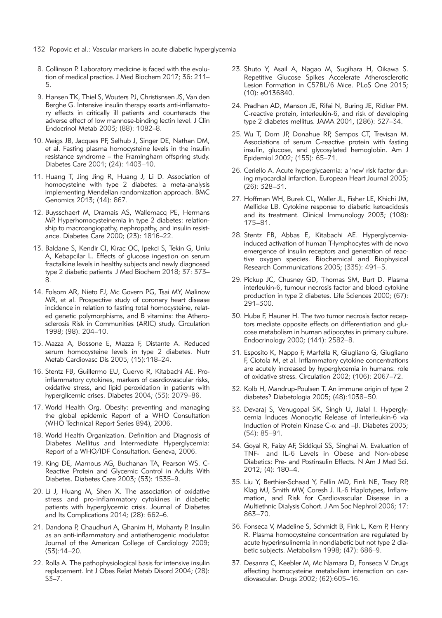- 8. Collinson P. Laboratory medicine is faced with the evolution of medical practice. J Med Biochem 2017; 36: 211– 5.
- 9. Hansen TK, Thiel S, Wouters PJ, Christisnsen JS, Van den Berghe G. Intensive insulin therapy exarts anti-inflamatory effects in critically ill patients and counteracts the adverse effect of low mannose-binding lectin level. J Clin Endocrinol Metab 2003; (88): 1082–8.
- 10. Meigs JB, Jacques PF, Selhub J, Singer DE, Nathan DM, et al. Fasting plasma homocysteine levels in the insulin resistance syndrome – the Framingham offspring study. Diabetes Care 2001; (24): 1403–10.
- 11. Huang T, Jing Jing R, Huang J, Li D. Association of homocysteine with type 2 diabetes: a meta-analysis implementing Mendelian randomization approach. BMC Genomics 2013; (14): 867.
- 12. Buysschaert M, Dramais AS, Wallemacq PE, Hermans MP. Hyperhomocysteinemia in type 2 diabetes: relationship to macroangiopathy, nephropathy, and insulin resistance. Diabetes Care 2000; (23): 1816–22.
- 13. Baldane S, Kendir CI, Kirac OC, Ipekci S, Tekin G, Unlu A, Kebapcilar L. Effects of glucose ingestion on serum fractalkine levels in healthy subjects and newly diagnosed type 2 diabetic patients J Med Biochem 2018; 37: 373– 8.
- 14. Folsom AR, Nieto FJ, Mc Govern PG, Tsai MY, Malinow MR, et al. Prospective study of coronary heart disease incidence in relation to fasting total homocysteine, related genetic polymorphisms, and B vitamins: the Atherosclerosis Risk in Communities (ARIC) study. Circulation 1998; (98): 204–10.
- 15. Mazza A, Bossone E, Mazza F, Distante A. Reduced serum homocysteine levels in type 2 diabetes. Nutr Metab Cardiovasc Dis 2005; (15):118–24.
- 16. Stentz FB, Guillermo EU, Cuervo R, Kitabachi AE. Proinflammatory cytokines, markers of casrdiovascular risks, oxidative stress, and lipid peroxidation in patients with hyperglicemic crises. Diabetes 2004; (53): 2079–86.
- 17. World Health Org. Obesity: preventing and managing the global epidemic Report of a WHO Consultation (WHO Technical Report Series 894), 2006.
- 18. World Health Organization. Definition and Diagnosis of Diabetes Mellitus and Intermediate Hyperglycemia: Report of a WHO/IDF Consultation. Geneva, 2006.
- 19. King DE, Marnous AG, Buchanan TA, Pearson WS. C-Reactive Protein and Glycemic Control in Adults With Diabetes. Diabetes Care 2003; (53): 1535–9.
- 20. Li J, Huang M, Shen X. The association of oxidative stress and pro-inflammatory cytokines in diabetic patients with hyperglycemic crisis. Journal of Diabetes and Its Complications 2014; (28): 662–6.
- 21. Dandona P, Chaudhuri A, Ghanim H, Mohanty P. Insulin as an anti-inflammatory and antiatherogenic modulator. Journal of the American College of Cardiology 2009; (53):14–20.
- 22. Rolla A. The pathophysiological basis for intensive insulin replacement. Int J Obes Relat Metab Disord 2004; (28):  $S\bar{3} - 7$ .
- 23. Shuto Y, Asail A, Nagao M, Sugihara H, Oikawa S. Repetitive Glucose Spikes Accelerate Atherosclerotic Lesion Formation in C57BL/6 Mice. PLoS One 2015; (10): e0136840.
- 24. Pradhan AD, Manson JE, Rifai N, Buring JE, Ridker PM. C-reactive protein, interleukin-6, and risk of developing type 2 diabetes mellitus. JAMA 2001, (286): 327–34.
- 25. Wu T, Dorn JP, Donahue RP, Sempos CT, Trevisan M. Associations of serum C-reactive protein with fasting insulin, glucose, and glycosylated hemoglobin. Am J Epidemiol 2002; (155): 65–71.
- 26. Ceriello A. Acute hyperglycaemia: a 'new' risk factor during myocardial infarction. European Heart Journal 2005; (26): 328–31.
- 27. Hoffman WH, Burek CL, Waller JL, Fisher LE, Khichi JM, Mellicke LB. Cytokine response to diabetic ketoacidosis and its treatment. Clinical Immunology 2003; (108): 175–81.
- 28. Stentz FB, Abbas E, Kitabachi AE. Hyperglycemiainduced activation of human T-lymphocytes with de novo emergence of insulin receptors and generation of reactive oxygen species. Biochemical and Biophysical Research Communications 2005; (335): 491–5.
- 29. Pickup JC, Chusney GD, Thomas SM, Burt D. Plasma interleukin-6, tumour necrosis factor and blood cytokine production in type 2 diabetes. Life Sciences 2000; (67): 291–300.
- 30. Hube F, Hauner H. The two tumor necrosis factor receptors mediate opposite effects on differentiation and glucose metabolism in human adipocytes in primary culture. Endocrinology 2000; (141): 2582–8.
- 31. Esposito K, Nappo F, Marfella R, Giugliano G, Giugliano F, Ciotola M, et al. Inflammatory cytokine concentrations are acutely increased by hyperglycemia in humans: role of oxidative stress. Circulation 2002; (106): 2067–72.
- 32. Kolb H, Mandrup-Poulsen T. An immune origin of type 2 diabetes? Diabetologia 2005; (48):1038–50.
- 33. Devaraj S, Venugopal SK, Singh U, Jialal I. Hyperglycemia Induces Monocytic Release of Interleukin-6 via Induction of Protein Kinase C- $\alpha$  and  $-\beta$ . Diabetes 2005; (54): 85–91.
- 34. Goyal R, Faizy AF, Siddiqui SS, Singhai M. Evaluation of TNF- and IL-6 Levels in Obese and Non-obese Diabetics: Pre- and Postinsulin Effects. N Am J Med Sci. 2012; (4): 180–4.
- 35. Liu Y, Berthier-Schaad Y, Fallin MD, Fink NE, Tracy RP, Klag MJ, Smith MW, Coresh J. IL-6 Haplotypes, Inflammation, and Risk for Cardiovascular Disease in a Multiethnic Dialysis Cohort. J Am Soc Nephrol 2006; 17: 863–70.
- 36. Fonseca V, Madeline S, Schmidt B, Fink L, Kern P, Henry R. Plasma homocysteine concentration are regulated by acute hyperinsulinemia in nondiabetic but not type 2 diabetic subjects. Metabolism 1998; (47): 686–9.
- 37. Desanza C, Keebler M, Mc Namara D, Fonseca V. Drugs affecting homocysteine metabolism interaction on cardiovascular. Drugs 2002; (62):605–16.